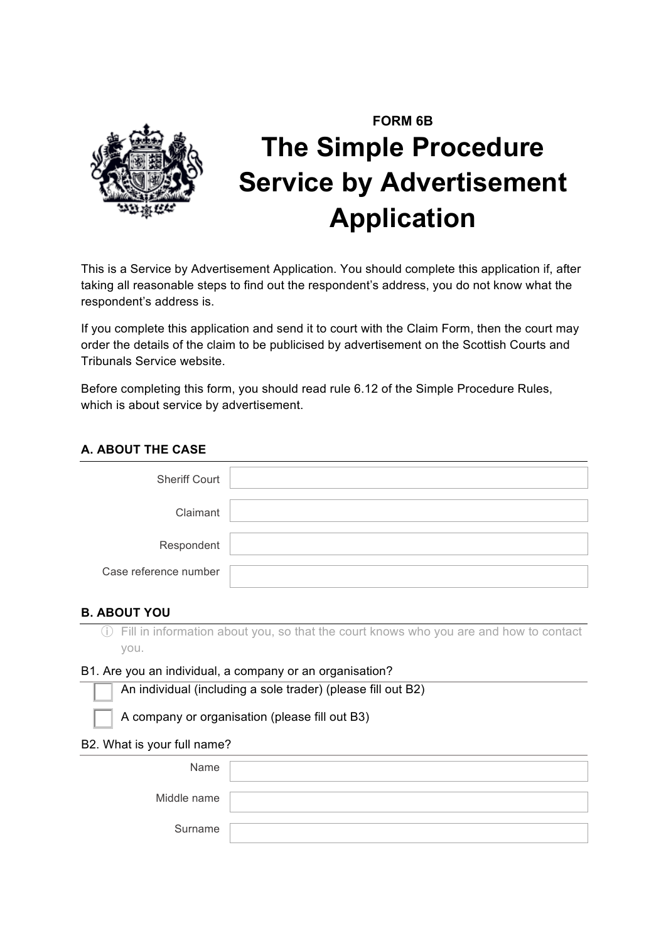

# **FORM 6B The Simple Procedure Service by Advertisement Application**

This is a Service by Advertisement Application. You should complete this application if, after taking all reasonable steps to find out the respondent's address, you do not know what the respondent's address is.

If you complete this application and send it to court with the Claim Form, then the court may order the details of the claim to be publicised by advertisement on the Scottish Courts and Tribunals Service website.

Before completing this form, you should read rule 6.12 of the Simple Procedure Rules, which is about service by advertisement.

### **A. ABOUT THE CASE**

| <b>Sheriff Court</b>  |  |
|-----------------------|--|
| Claimant              |  |
| Respondent            |  |
| Case reference number |  |

#### **B. ABOUT YOU**

ⓘ Fill in information about you, so that the court knows who you are and how to contact you.

#### B1. Are you an individual, a company or an organisation?

An individual (including a sole trader) (please fill out B2)

A company or organisation (please fill out B3)

#### B2. What is your full name?

| Name        |  |
|-------------|--|
| Middle name |  |
| Surname     |  |